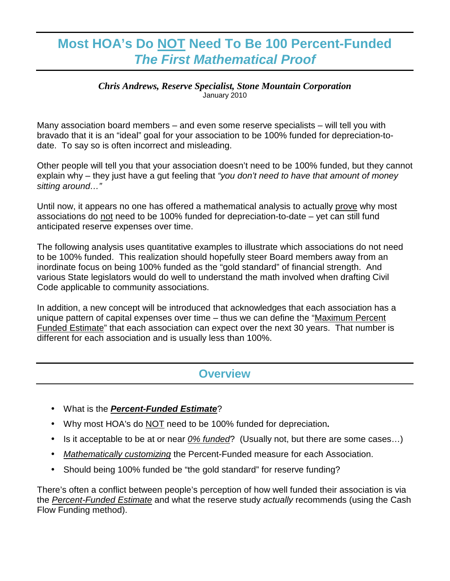# **Most HOA's Do NOT Need To Be 100 Percent-Funded The First Mathematical Proof**

#### *Chris Andrews, Reserve Specialist, Stone Mountain Corporation*  January 2010

Many association board members – and even some reserve specialists – will tell you with bravado that it is an "ideal" goal for your association to be 100% funded for depreciation-todate. To say so is often incorrect and misleading.

Other people will tell you that your association doesn't need to be 100% funded, but they cannot explain why – they just have a gut feeling that "you don't need to have that amount of money sitting around..."

Until now, it appears no one has offered a mathematical analysis to actually prove why most associations do not need to be 100% funded for depreciation-to-date – yet can still fund anticipated reserve expenses over time.

The following analysis uses quantitative examples to illustrate which associations do not need to be 100% funded. This realization should hopefully steer Board members away from an inordinate focus on being 100% funded as the "gold standard" of financial strength. And various State legislators would do well to understand the math involved when drafting Civil Code applicable to community associations.

In addition, a new concept will be introduced that acknowledges that each association has a unique pattern of capital expenses over time – thus we can define the "Maximum Percent Funded Estimate" that each association can expect over the next 30 years. That number is different for each association and is usually less than 100%.

#### **Overview**

- What is the **Percent-Funded Estimate**?
- Why most HOA's do NOT need to be 100% funded for depreciation**.**
- Is it acceptable to be at or near  $0\%$  funded? (Usually not, but there are some cases...)
- Mathematically customizing the Percent-Funded measure for each Association.
- Should being 100% funded be "the gold standard" for reserve funding?

There's often a conflict between people's perception of how well funded their association is via the Percent-Funded Estimate and what the reserve study actually recommends (using the Cash Flow Funding method).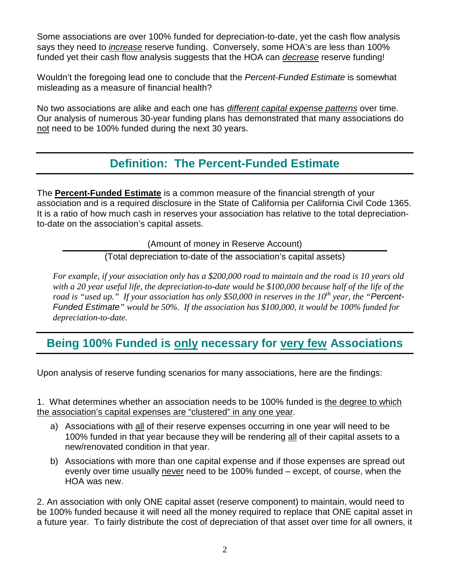Some associations are over 100% funded for depreciation-to-date, yet the cash flow analysis says they need to increase reserve funding. Conversely, some HOA's are less than 100% funded yet their cash flow analysis suggests that the HOA can decrease reserve funding!

Wouldn't the foregoing lead one to conclude that the Percent-Funded Estimate is somewhat misleading as a measure of financial health?

No two associations are alike and each one has different capital expense patterns over time. Our analysis of numerous 30-year funding plans has demonstrated that many associations do not need to be 100% funded during the next 30 years.

### **Definition: The Percent-Funded Estimate**

The **Percent-Funded Estimate** is a common measure of the financial strength of your association and is a required disclosure in the State of California per California Civil Code 1365. It is a ratio of how much cash in reserves your association has relative to the total depreciationto-date on the association's capital assets.

(Amount of money in Reserve Account)

(Total depreciation to-date of the association's capital assets)

*For example, if your association only has a \$200,000 road to maintain and the road is 10 years old with a 20 year useful life, the depreciation-to-date would be \$100,000 because half of the life of the road is "used up." If your association has only \$50,000 in reserves in the 10th year, the "*Percent-Funded Estimate*" would be 50%. If the association has \$100,000, it would be 100% funded for depreciation-to-date.* 

## **Being 100% Funded is only necessary for very few Associations**

Upon analysis of reserve funding scenarios for many associations, here are the findings:

1. What determines whether an association needs to be 100% funded is the degree to which the association's capital expenses are "clustered" in any one year.

- a) Associations with all of their reserve expenses occurring in one year will need to be 100% funded in that year because they will be rendering all of their capital assets to a new/renovated condition in that year.
- b) Associations with more than one capital expense and if those expenses are spread out evenly over time usually never need to be 100% funded – except, of course, when the HOA was new.

2. An association with only ONE capital asset (reserve component) to maintain, would need to be 100% funded because it will need all the money required to replace that ONE capital asset in a future year. To fairly distribute the cost of depreciation of that asset over time for all owners, it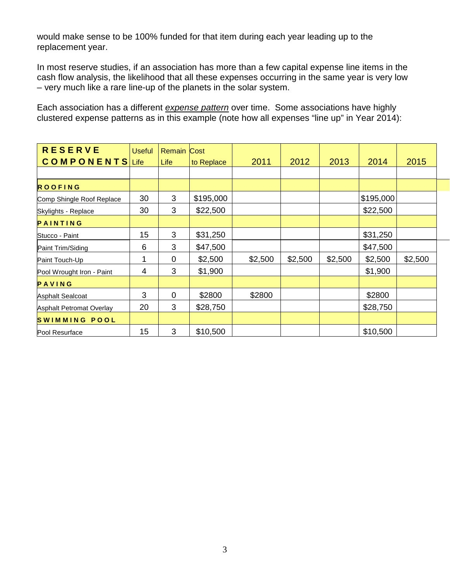would make sense to be 100% funded for that item during each year leading up to the replacement year.

In most reserve studies, if an association has more than a few capital expense line items in the cash flow analysis, the likelihood that all these expenses occurring in the same year is very low – very much like a rare line-up of the planets in the solar system.

Each association has a different expense pattern over time. Some associations have highly clustered expense patterns as in this example (note how all expenses "line up" in Year 2014):

| <b>RESERVE</b>            | <b>Useful</b> | <b>Remain Cost</b> |            |         |         |         |           |         |
|---------------------------|---------------|--------------------|------------|---------|---------|---------|-----------|---------|
| <b>COMPONENTS</b> Life    |               | Life               | to Replace | 2011    | 2012    | 2013    | 2014      | 2015    |
|                           |               |                    |            |         |         |         |           |         |
| <b>ROOFING</b>            |               |                    |            |         |         |         |           |         |
| Comp Shingle Roof Replace | 30            | 3                  | \$195,000  |         |         |         | \$195,000 |         |
| Skylights - Replace       | 30            | 3                  | \$22,500   |         |         |         | \$22,500  |         |
| PAINTING                  |               |                    |            |         |         |         |           |         |
| Stucco - Paint            | 15            | 3                  | \$31,250   |         |         |         | \$31,250  |         |
| Paint Trim/Siding         | 6             | 3                  | \$47,500   |         |         |         | \$47,500  |         |
| Paint Touch-Up            | 1             | 0                  | \$2,500    | \$2,500 | \$2,500 | \$2,500 | \$2,500   | \$2,500 |
| Pool Wrought Iron - Paint | 4             | 3                  | \$1,900    |         |         |         | \$1,900   |         |
| PAVING                    |               |                    |            |         |         |         |           |         |
| <b>Asphalt Sealcoat</b>   | 3             | $\overline{0}$     | \$2800     | \$2800  |         |         | \$2800    |         |
| Asphalt Petromat Overlay  | 20            | 3                  | \$28,750   |         |         |         | \$28,750  |         |
| SWIMMING POOL             |               |                    |            |         |         |         |           |         |
| Pool Resurface            | 15            | 3                  | \$10,500   |         |         |         | \$10,500  |         |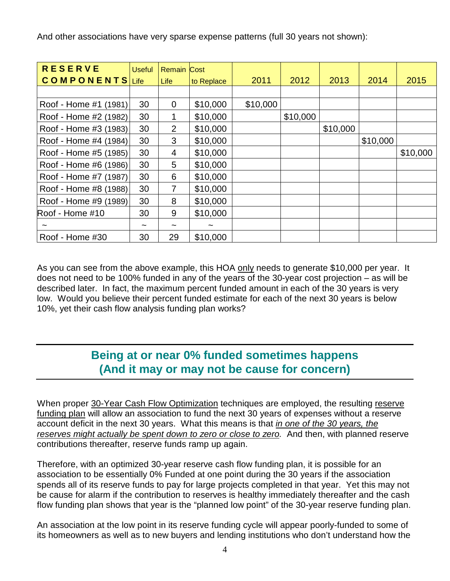And other associations have very sparse expense patterns (full 30 years not shown):

| <b>RESERVE</b>         | <b>Useful</b>         | <b>Remain Cost</b> |                       |          |          |          |          |          |
|------------------------|-----------------------|--------------------|-----------------------|----------|----------|----------|----------|----------|
| <b>COMPONENTS</b> Life |                       | Life               | to Replace            | 2011     | 2012     | 2013     | 2014     | 2015     |
|                        |                       |                    |                       |          |          |          |          |          |
| Roof - Home #1 (1981)  | 30                    | $\overline{0}$     | \$10,000              | \$10,000 |          |          |          |          |
| Roof - Home #2 (1982)  | 30                    | 1                  | \$10,000              |          | \$10,000 |          |          |          |
| Roof - Home #3 (1983)  | 30                    | 2                  | \$10,000              |          |          | \$10,000 |          |          |
| Roof - Home #4 (1984)  | 30                    | 3                  | \$10,000              |          |          |          | \$10,000 |          |
| Roof - Home #5 (1985)  | 30                    | 4                  | \$10,000              |          |          |          |          | \$10,000 |
| Roof - Home #6 (1986)  | 30                    | 5                  | \$10,000              |          |          |          |          |          |
| Roof - Home #7 (1987)  | 30                    | 6                  | \$10,000              |          |          |          |          |          |
| Roof - Home #8 (1988)  | 30                    | $\overline{7}$     | \$10,000              |          |          |          |          |          |
| Roof - Home #9 (1989)  | 30                    | 8                  | \$10,000              |          |          |          |          |          |
| Roof - Home #10        | 30                    | 9                  | \$10,000              |          |          |          |          |          |
|                        | $\tilde{\phantom{a}}$ |                    | $\tilde{\phantom{a}}$ |          |          |          |          |          |
| Roof - Home #30        | 30                    | 29                 | \$10,000              |          |          |          |          |          |

As you can see from the above example, this HOA only needs to generate \$10,000 per year. It does not need to be 100% funded in any of the years of the 30-year cost projection – as will be described later. In fact, the maximum percent funded amount in each of the 30 years is very low. Would you believe their percent funded estimate for each of the next 30 years is below 10%, yet their cash flow analysis funding plan works?

## **Being at or near 0% funded sometimes happens (And it may or may not be cause for concern)**

When proper 30-Year Cash Flow Optimization techniques are employed, the resulting reserve funding plan will allow an association to fund the next 30 years of expenses without a reserve account deficit in the next 30 years. What this means is that in one of the 30 years, the reserves might actually be spent down to zero or close to zero. And then, with planned reserve contributions thereafter, reserve funds ramp up again.

Therefore, with an optimized 30-year reserve cash flow funding plan, it is possible for an association to be essentially 0% Funded at one point during the 30 years if the association spends all of its reserve funds to pay for large projects completed in that year. Yet this may not be cause for alarm if the contribution to reserves is healthy immediately thereafter and the cash flow funding plan shows that year is the "planned low point" of the 30-year reserve funding plan.

An association at the low point in its reserve funding cycle will appear poorly-funded to some of its homeowners as well as to new buyers and lending institutions who don't understand how the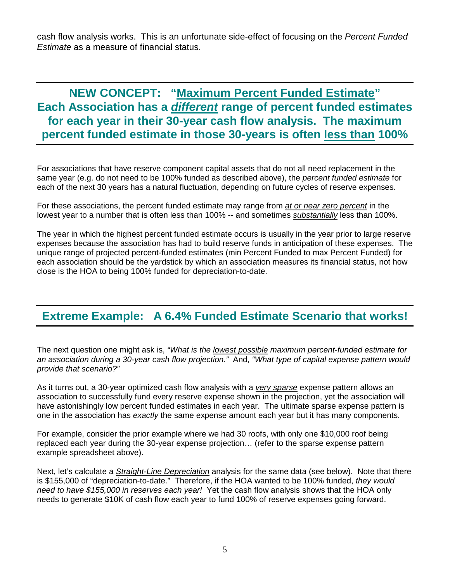cash flow analysis works. This is an unfortunate side-effect of focusing on the Percent Funded Estimate as a measure of financial status.

**NEW CONCEPT: "Maximum Percent Funded Estimate" Each Association has a different range of percent funded estimates for each year in their 30-year cash flow analysis. The maximum percent funded estimate in those 30-years is often less than 100%** 

For associations that have reserve component capital assets that do not all need replacement in the same year (e.g. do not need to be 100% funded as described above), the *percent funded estimate* for each of the next 30 years has a natural fluctuation, depending on future cycles of reserve expenses.

For these associations, the percent funded estimate may range from at or near zero percent in the lowest year to a number that is often less than 100% -- and sometimes substantially less than 100%.

The year in which the highest percent funded estimate occurs is usually in the year prior to large reserve expenses because the association has had to build reserve funds in anticipation of these expenses. The unique range of projected percent-funded estimates (min Percent Funded to max Percent Funded) for each association should be the yardstick by which an association measures its financial status, not how close is the HOA to being 100% funded for depreciation-to-date.

## **Extreme Example: A 6.4% Funded Estimate Scenario that works!**

The next question one might ask is, "What is the lowest possible maximum percent-funded estimate for an association during a 30-year cash flow projection." And, "What type of capital expense pattern would provide that scenario?"

As it turns out, a 30-year optimized cash flow analysis with a very sparse expense pattern allows an association to successfully fund every reserve expense shown in the projection, yet the association will have astonishingly low percent funded estimates in each year. The ultimate sparse expense pattern is one in the association has exactly the same expense amount each year but it has many components.

For example, consider the prior example where we had 30 roofs, with only one \$10,000 roof being replaced each year during the 30-year expense projection… (refer to the sparse expense pattern example spreadsheet above).

Next, let's calculate a *Straight-Line Depreciation* analysis for the same data (see below). Note that there is \$155,000 of "depreciation-to-date." Therefore, if the HOA wanted to be 100% funded, they would need to have \$155,000 in reserves each year! Yet the cash flow analysis shows that the HOA only needs to generate \$10K of cash flow each year to fund 100% of reserve expenses going forward.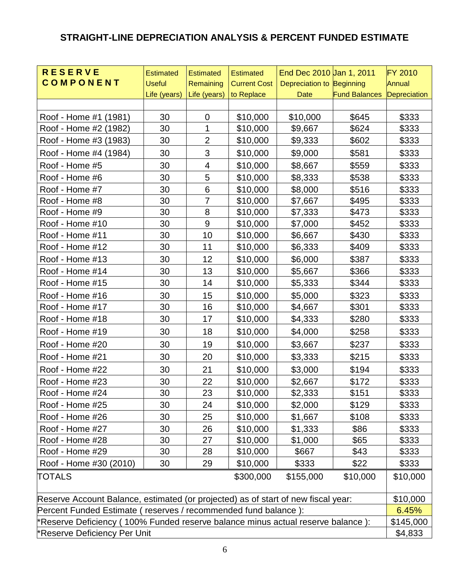#### **STRAIGHT-LINE DEPRECIATION ANALYSIS & PERCENT FUNDED ESTIMATE**

| <b>RESERVE</b>                                                                    | <b>Estimated</b> | <b>Estimated</b> | <b>Estimated</b>    | End Dec 2010 Jan 1, 2011  |                                   | <b>FY 2010</b> |  |
|-----------------------------------------------------------------------------------|------------------|------------------|---------------------|---------------------------|-----------------------------------|----------------|--|
| <b>COMPONENT</b>                                                                  | <b>Useful</b>    | Remaining        | <b>Current Cost</b> | Depreciation to Beginning |                                   | Annual         |  |
|                                                                                   | Life (years)     | Life (years)     | to Replace          | <b>Date</b>               | <b>Fund Balances Depreciation</b> |                |  |
|                                                                                   |                  |                  |                     |                           |                                   |                |  |
| Roof - Home #1 (1981)                                                             | 30               | 0                | \$10,000            | \$10,000                  | \$645                             | \$333          |  |
| Roof - Home #2 (1982)                                                             | 30               | 1                | \$10,000            | \$9,667                   | \$624                             | \$333          |  |
| Roof - Home #3 (1983)                                                             | 30               | $\overline{2}$   | \$10,000            | \$9,333                   | \$602                             | \$333          |  |
| Roof - Home #4 (1984)                                                             | 30               | 3                | \$10,000            | \$9,000                   | \$581                             | \$333          |  |
| Roof - Home #5                                                                    | 30               | 4                | \$10,000            | \$8,667                   | \$559                             | \$333          |  |
| Roof - Home #6                                                                    | 30               | 5                | \$10,000            | \$8,333                   | \$538                             | \$333          |  |
| Roof - Home #7                                                                    | 30               | 6                | \$10,000            | \$8,000                   | \$516                             | \$333          |  |
| Roof - Home #8                                                                    | 30               | $\overline{7}$   | \$10,000            | \$7,667                   | \$495                             | \$333          |  |
| Roof - Home #9                                                                    | 30               | 8                | \$10,000            | \$7,333                   | \$473                             | \$333          |  |
| Roof - Home #10                                                                   | 30               | 9                | \$10,000            | \$7,000                   | \$452                             | \$333          |  |
| Roof - Home #11                                                                   | 30               | 10               | \$10,000            | \$6,667                   | \$430                             | \$333          |  |
| Roof - Home #12                                                                   | 30               | 11               | \$10,000            | \$6,333                   | \$409                             | \$333          |  |
| Roof - Home #13                                                                   | 30               | 12               | \$10,000            | \$6,000                   | \$387                             | \$333          |  |
| Roof - Home #14                                                                   | 30               | 13               | \$10,000            | \$5,667                   | \$366                             | \$333          |  |
| Roof - Home #15                                                                   | 30               | 14               | \$10,000            | \$5,333                   | \$344                             | \$333          |  |
| Roof - Home #16                                                                   | 30               | 15               | \$10,000            | \$5,000                   | \$323                             | \$333          |  |
| Roof - Home #17                                                                   | 30               | 16               | \$10,000            | \$4,667                   | \$301                             | \$333          |  |
| Roof - Home #18                                                                   | 30               | 17               | \$10,000            | \$4,333                   | \$280                             | \$333          |  |
| Roof - Home #19                                                                   | 30               | 18               | \$10,000            | \$4,000                   | \$258                             | \$333          |  |
| Roof - Home #20                                                                   | 30               | 19               | \$10,000            | \$3,667                   | \$237                             | \$333          |  |
| Roof - Home #21                                                                   | 30               | 20               | \$10,000            | \$3,333                   | \$215                             | \$333          |  |
| Roof - Home #22                                                                   | 30               | 21               | \$10,000            | \$3,000                   | \$194                             | \$333          |  |
| Roof - Home #23                                                                   | 30               | 22               | \$10,000            | \$2,667                   | \$172                             | \$333          |  |
| Roof - Home #24                                                                   | 30               | 23               | \$10,000            | \$2,333                   | \$151                             | \$333          |  |
| Roof - Home #25                                                                   | 30               | 24               | \$10,000            | \$2,000                   | \$129                             | \$333          |  |
| Roof - Home #26                                                                   | 30               | 25               | \$10,000            | \$1,667                   | \$108                             | \$333          |  |
| Roof - Home #27                                                                   | 30               | 26               | \$10,000            | \$1,333                   | \$86                              | \$333          |  |
| Roof - Home #28                                                                   | 30               | 27               | \$10,000            | \$1,000                   | \$65                              | \$333          |  |
| Roof - Home #29                                                                   | 30               | 28               | \$10,000            | \$667                     | \$43                              | \$333          |  |
| Roof - Home #30 (2010)                                                            | 30               | 29               | \$10,000            | \$333                     | \$22                              | \$333          |  |
| TOTALS                                                                            |                  |                  | \$300,000           | \$155,000                 | \$10,000                          | \$10,000       |  |
| Reserve Account Balance, estimated (or projected) as of start of new fiscal year: |                  |                  |                     |                           |                                   |                |  |
| Percent Funded Estimate (reserves / recommended fund balance):                    |                  |                  |                     |                           |                                   |                |  |
| *Reserve Deficiency (100% Funded reserve balance minus actual reserve balance):   |                  |                  |                     |                           |                                   |                |  |
| *Reserve Deficiency Per Unit                                                      |                  |                  |                     |                           |                                   |                |  |